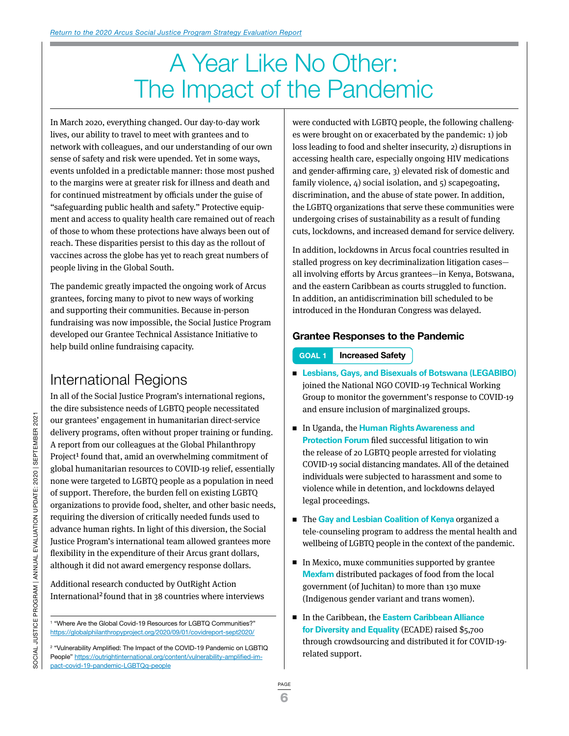# A Year Like No Other: The Impact of the Pandemic

In March 2020, everything changed. Our day-to-day work lives, our ability to travel to meet with grantees and to network with colleagues, and our understanding of our own sense of safety and risk were upended. Yet in some ways, events unfolded in a predictable manner: those most pushed to the margins were at greater risk for illness and death and for continued mistreatment by officials under the guise of "safeguarding public health and safety." Protective equipment and access to quality health care remained out of reach of those to whom these protections have always been out of reach. These disparities persist to this day as the rollout of vaccines across the globe has yet to reach great numbers of people living in the Global South.

The pandemic greatly impacted the ongoing work of Arcus grantees, forcing many to pivot to new ways of working and supporting their communities. Because in-person fundraising was now impossible, the Social Justice Program developed our Grantee Technical Assistance Initiative to help build online fundraising capacity.

# International Regions

In all of the Social Justice Program's international regions, the dire subsistence needs of LGBTQ people necessitated our grantees' engagement in humanitarian direct-service delivery programs, often without proper training or funding. A report from our colleagues at the Global Philanthropy Project<sup>1</sup> found that, amid an overwhelming commitment of global humanitarian resources to COVID-19 relief, essentially none were targeted to LGBTQ people as a population in need of support. Therefore, the burden fell on existing LGBTQ organizations to provide food, shelter, and other basic needs, requiring the diversion of critically needed funds used to advance human rights. In light of this diversion, the Social Justice Program's international team allowed grantees more flexibility in the expenditure of their Arcus grant dollars, although it did not award emergency response dollars.

Additional research conducted by OutRight Action International2 found that in 38 countries where interviews were conducted with LGBTQ people, the following challenges were brought on or exacerbated by the pandemic: 1) job loss leading to food and shelter insecurity, 2) disruptions in accessing health care, especially ongoing HIV medications and gender-affirming care, 3) elevated risk of domestic and family violence, 4) social isolation, and 5) scapegoating, discrimination, and the abuse of state power. In addition, the LGBTQ organizations that serve these communities were undergoing crises of sustainability as a result of funding cuts, lockdowns, and increased demand for service delivery.

In addition, lockdowns in Arcus focal countries resulted in stalled progress on key decriminalization litigation cases all involving efforts by Arcus grantees—in Kenya, Botswana, and the eastern Caribbean as courts struggled to function. In addition, an antidiscrimination bill scheduled to be introduced in the Honduran Congress was delayed.

## **Grantee Responses to the Pandemic**

- **GOAL 1 Increased Safety**
- <sup>n</sup> **Lesbians, Gays, and Bisexuals of Botswana (LEGABIBO)** joined the National NGO COVID-19 Technical Working Group to monitor the government's response to COVID-19 and ensure inclusion of marginalized groups.
- In Uganda, the **Human Rights Awareness and Protection Forum** filed successful litigation to win the release of 20 LGBTQ people arrested for violating COVID-19 social distancing mandates. All of the detained individuals were subjected to harassment and some to violence while in detention, and lockdowns delayed legal proceedings.
- The Gay and Lesbian Coalition of Kenya organized a tele-counseling program to address the mental health and wellbeing of LGBTQ people in the context of the pandemic.
- $\blacksquare$  In Mexico, muxe communities supported by grantee **Mexfam** distributed packages of food from the local government (of Juchitan) to more than 130 muxe (Indigenous gender variant and trans women).
- In the Caribbean, the **Eastern Caribbean Alliance for Diversity and Equality** (ECADE) raised \$5,700 through crowdsourcing and distributed it for COVID-19 related support.

<sup>1</sup> "Where Are the Global Covid-19 Resources for LGBTQ Communities?" <https://globalphilanthropyproject.org/2020/09/01/covidreport-sept2020/>

<sup>2</sup> "Vulnerability Amplified: The Impact of the COVID-19 Pandemic on LGBTIQ People" [https://outrightinternational.org/content/vulnerability-amplified-im](https://outrightinternational.org/content/vulnerability-amplified-impact-covid-19-pandemic-LGBTQq-people)[pact-covid-19-pandemic-LGBTQq-people](https://outrightinternational.org/content/vulnerability-amplified-impact-covid-19-pandemic-LGBTQq-people)